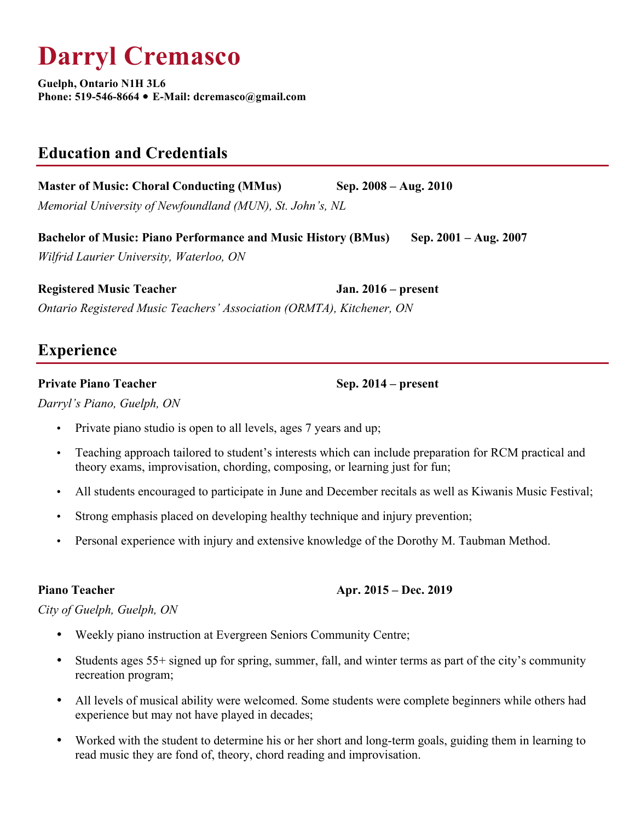# **Darryl Cremasco**

**Guelph, Ontario N1H 3L6 Phone: 519-546-8664 E-Mail: dcremasco@gmail.com**

# **Education and Credentials**

**Master of Music: Choral Conducting (MMus) Sep. 2008 – Aug. 2010** *Memorial University of Newfoundland (MUN), St. John's, NL*

**Bachelor of Music: Piano Performance and Music History (BMus) Sep. 2001 – Aug. 2007** *Wilfrid Laurier University, Waterloo, ON*

**Registered Music Teacher Jan. 2016 – present**  *Ontario Registered Music Teachers' Association (ORMTA), Kitchener, ON*

# **Experience**

## **Private Piano Teacher Sep. 2014 – present**

*Darryl's Piano, Guelph, ON*

- Private piano studio is open to all levels, ages 7 years and up;
- Teaching approach tailored to student's interests which can include preparation for RCM practical and theory exams, improvisation, chording, composing, or learning just for fun;
- All students encouraged to participate in June and December recitals as well as Kiwanis Music Festival;
- Strong emphasis placed on developing healthy technique and injury prevention;
- Personal experience with injury and extensive knowledge of the Dorothy M. Taubman Method.

### **Piano Teacher Apr. 2015 – Dec. 2019**

# *City of Guelph, Guelph, ON*

- Weekly piano instruction at Evergreen Seniors Community Centre;
- Students ages 55+ signed up for spring, summer, fall, and winter terms as part of the city's community recreation program;
- All levels of musical ability were welcomed. Some students were complete beginners while others had experience but may not have played in decades;
- Worked with the student to determine his or her short and long-term goals, guiding them in learning to read music they are fond of, theory, chord reading and improvisation.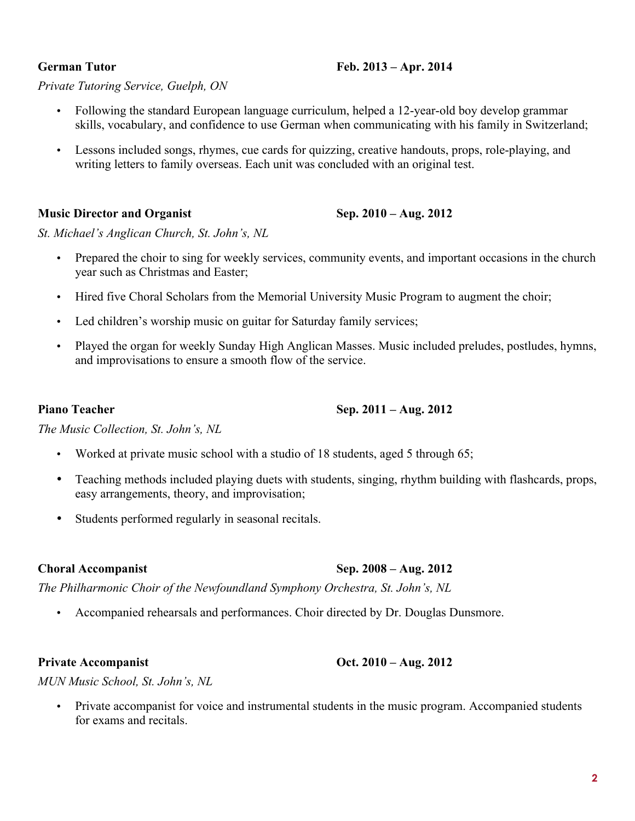# **German Tutor Feb. 2013 – Apr. 2014**

# *Private Tutoring Service, Guelph, ON*

- Following the standard European language curriculum, helped a 12-year-old boy develop grammar skills, vocabulary, and confidence to use German when communicating with his family in Switzerland;
- Lessons included songs, rhymes, cue cards for quizzing, creative handouts, props, role-playing, and writing letters to family overseas. Each unit was concluded with an original test.

# **Music Director and Organist Sep. 2010 – Aug. 2012**

*St. Michael's Anglican Church, St. John's, NL*

- Prepared the choir to sing for weekly services, community events, and important occasions in the church year such as Christmas and Easter;
- Hired five Choral Scholars from the Memorial University Music Program to augment the choir;
- Led children's worship music on guitar for Saturday family services;
- Played the organ for weekly Sunday High Anglican Masses. Music included preludes, postludes, hymns, and improvisations to ensure a smooth flow of the service.

- Worked at private music school with a studio of 18 students, aged 5 through 65;
- Teaching methods included playing duets with students, singing, rhythm building with flashcards, props, easy arrangements, theory, and improvisation;
- Students performed regularly in seasonal recitals.

# **Choral Accompanist Sep. 2008 – Aug. 2012**

*The Philharmonic Choir of the Newfoundland Symphony Orchestra, St. John's, NL*

• Accompanied rehearsals and performances. Choir directed by Dr. Douglas Dunsmore.

# **Private Accompanist Oct. 2010 – Aug. 2012**

*MUN Music School, St. John's, NL*

• Private accompanist for voice and instrumental students in the music program. Accompanied students for exams and recitals.

## **Piano Teacher Sep. 2011 – Aug. 2012**

# *The Music Collection, St. John's, NL*